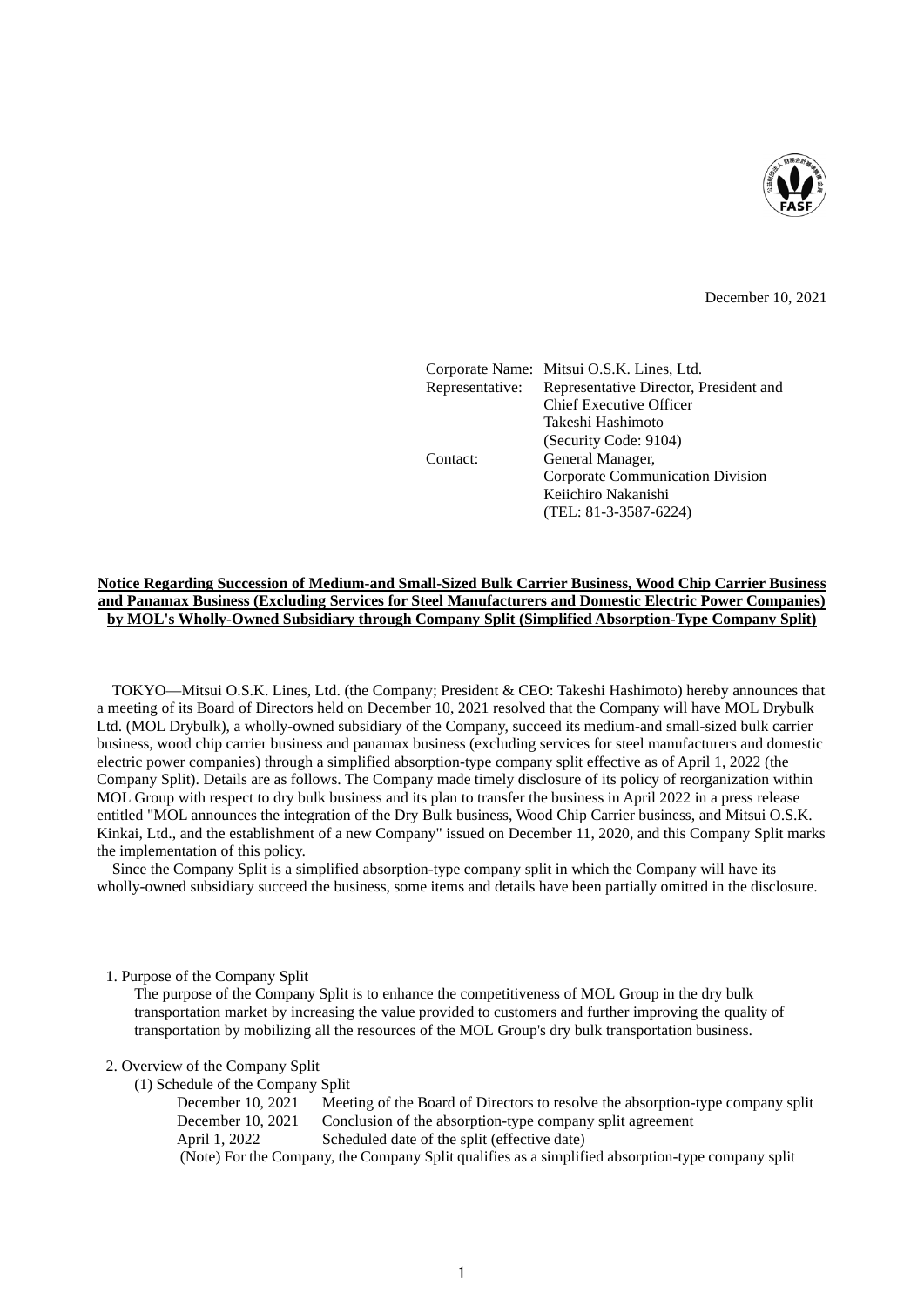

December 10, 2021

|                 | Corporate Name: Mitsui O.S.K. Lines, Ltd. |
|-----------------|-------------------------------------------|
| Representative: | Representative Director, President and    |
|                 | <b>Chief Executive Officer</b>            |
|                 | Takeshi Hashimoto                         |
|                 | (Security Code: 9104)                     |
| Contact:        | General Manager,                          |
|                 | Corporate Communication Division          |
|                 | Keiichiro Nakanishi                       |
|                 | $(TEL: 81-3-3587-6224)$                   |
|                 |                                           |

## **Notice Regarding Succession of Medium-and Small-Sized Bulk Carrier Business, Wood Chip Carrier Business and Panamax Business (Excluding Services for Steel Manufacturers and Domestic Electric Power Companies) by MOL's Wholly-Owned Subsidiary through Company Split (Simplified Absorption-Type Company Split)**

TOKYO—Mitsui O.S.K. Lines, Ltd. (the Company; President & CEO: Takeshi Hashimoto) hereby announces that a meeting of its Board of Directors held on December 10, 2021 resolved that the Company will have MOL Drybulk Ltd. (MOL Drybulk), a wholly-owned subsidiary of the Company, succeed its medium-and small-sized bulk carrier business, wood chip carrier business and panamax business (excluding services for steel manufacturers and domestic electric power companies) through a simplified absorption-type company split effective as of April 1, 2022 (the Company Split). Details are as follows. The Company made timely disclosure of its policy of reorganization within MOL Group with respect to dry bulk business and its plan to transfer the business in April 2022 in a press release entitled "MOL announces the integration of the Dry Bulk business, Wood Chip Carrier business, and Mitsui O.S.K. Kinkai, Ltd., and the establishment of a new Company" issued on December 11, 2020, and this Company Split marks the implementation of this policy.

Since the Company Split is a simplified absorption-type company split in which the Company will have its wholly-owned subsidiary succeed the business, some items and details have been partially omitted in the disclosure.

## 1. Purpose of the Company Split

The purpose of the Company Split is to enhance the competitiveness of MOL Group in the dry bulk transportation market by increasing the value provided to customers and further improving the quality of transportation by mobilizing all the resources of the MOL Group's dry bulk transportation business.

2. Overview of the Company Split

(1) Schedule of the Company Split

| December $10, 2021$                                                                               | Meeting of the Board of Directors to resolve the absorption-type company split |  |  |  |
|---------------------------------------------------------------------------------------------------|--------------------------------------------------------------------------------|--|--|--|
| December 10, 2021                                                                                 | Conclusion of the absorption-type company split agreement                      |  |  |  |
| April 1, 2022                                                                                     | Scheduled date of the split (effective date)                                   |  |  |  |
| (Note) For the Company, the Company Split qualifies as a simplified absorption-type company split |                                                                                |  |  |  |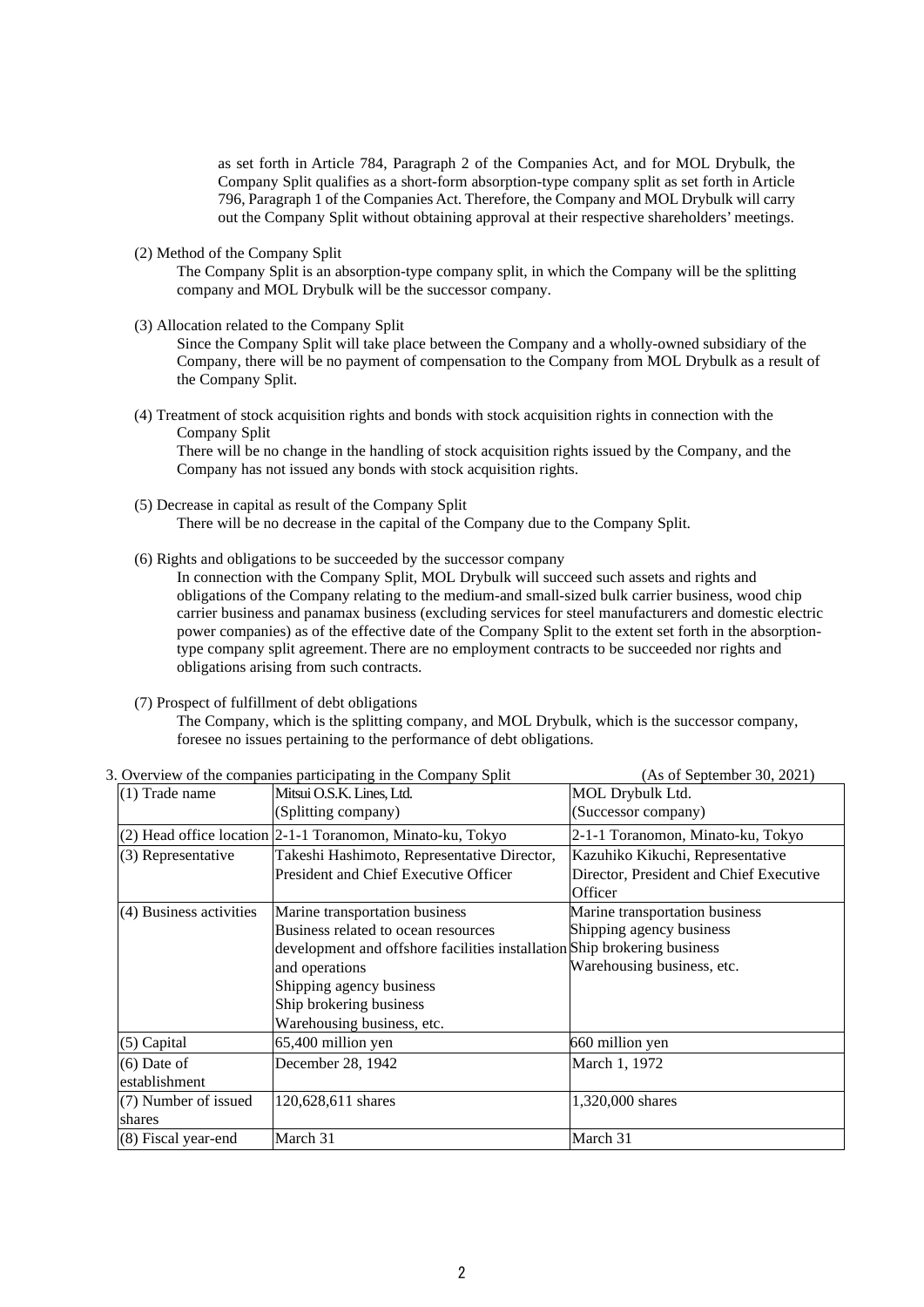as set forth in Article 784, Paragraph 2 of the Companies Act, and for MOL Drybulk, the Company Split qualifies as a short-form absorption-type company split as set forth in Article 796, Paragraph 1 of the Companies Act. Therefore, the Company and MOL Drybulk will carry out the Company Split without obtaining approval at their respective shareholders' meetings.

(2) Method of the Company Split

The Company Split is an absorption-type company split, in which the Company will be the splitting company and MOL Drybulk will be the successor company.

(3) Allocation related to the Company Split

Since the Company Split will take place between the Company and a wholly-owned subsidiary of the Company, there will be no payment of compensation to the Company from MOL Drybulk as a result of the Company Split.

(4) Treatment of stock acquisition rights and bonds with stock acquisition rights in connection with the Company Split

There will be no change in the handling of stock acquisition rights issued by the Company, and the Company has not issued any bonds with stock acquisition rights.

(5) Decrease in capital as result of the Company Split

There will be no decrease in the capital of the Company due to the Company Split.

(6) Rights and obligations to be succeeded by the successor company

In connection with the Company Split, MOL Drybulk will succeed such assets and rights and obligations of the Company relating to the medium-and small-sized bulk carrier business, wood chip carrier business and panamax business (excluding services for steel manufacturers and domestic electric power companies) as of the effective date of the Company Split to the extent set forth in the absorptiontype company split agreement.There are no employment contracts to be succeeded nor rights and obligations arising from such contracts.

(7) Prospect of fulfillment of debt obligations

The Company, which is the splitting company, and MOL Drybulk, which is the successor company, foresee no issues pertaining to the performance of debt obligations.

| $\sim$ . Over view of the companies participating in the company spine<br>$(113 \text{ of the equation})$ , $2021$ |                                                                          |                                         |  |  |  |  |
|--------------------------------------------------------------------------------------------------------------------|--------------------------------------------------------------------------|-----------------------------------------|--|--|--|--|
| $(1)$ Trade name                                                                                                   | Mitsui O.S.K. Lines, Ltd.                                                | MOL Drybulk Ltd.                        |  |  |  |  |
|                                                                                                                    | (Splitting company)                                                      | (Successor company)                     |  |  |  |  |
|                                                                                                                    | (2) Head office location 2-1-1 Toranomon, Minato-ku, Tokyo               | 2-1-1 Toranomon, Minato-ku, Tokyo       |  |  |  |  |
| (3) Representative                                                                                                 | Takeshi Hashimoto, Representative Director,                              | Kazuhiko Kikuchi, Representative        |  |  |  |  |
|                                                                                                                    | President and Chief Executive Officer                                    | Director, President and Chief Executive |  |  |  |  |
|                                                                                                                    |                                                                          | Officer                                 |  |  |  |  |
| (4) Business activities                                                                                            | Marine transportation business                                           | Marine transportation business          |  |  |  |  |
|                                                                                                                    | Business related to ocean resources                                      | Shipping agency business                |  |  |  |  |
|                                                                                                                    | development and offshore facilities installation Ship brokering business |                                         |  |  |  |  |
|                                                                                                                    | and operations                                                           | Warehousing business, etc.              |  |  |  |  |
| Shipping agency business                                                                                           |                                                                          |                                         |  |  |  |  |
| Ship brokering business                                                                                            |                                                                          |                                         |  |  |  |  |
|                                                                                                                    | Warehousing business, etc.                                               |                                         |  |  |  |  |
| $(5)$ Capital                                                                                                      | 65,400 million yen                                                       | 660 million yen                         |  |  |  |  |
| $(6)$ Date of                                                                                                      | December 28, 1942                                                        | March 1, 1972                           |  |  |  |  |
| establishment                                                                                                      |                                                                          |                                         |  |  |  |  |
| (7) Number of issued                                                                                               | 120,628,611 shares                                                       | 1,320,000 shares                        |  |  |  |  |
| shares                                                                                                             |                                                                          |                                         |  |  |  |  |
| (8) Fiscal year-end                                                                                                | March 31                                                                 | March 31                                |  |  |  |  |

3. Overview of the companies participating in the Company Split (As of September 30, 2021)